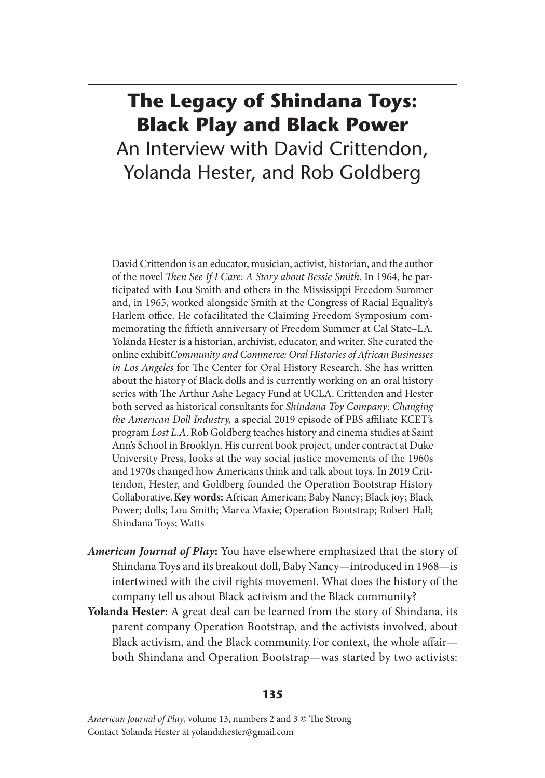## **The Legacy of Shindana Toys: Black Play and Black Power** An Interview with David Crittendon, Yolanda Hester, and Rob Goldberg

David Crittendon is an educator, musician, activist, historian, and the author of the novel *Then See If I Care: A Story about Bessie Smith*. In 1964, he participated with Lou Smith and others in the Mississippi Freedom Summer and, in 1965, worked alongside Smith at the Congress of Racial Equality's Harlem office. He cofacilitated the Claiming Freedom Symposium commemorating the fiftieth anniversary of Freedom Summer at Cal State–LA. Yolanda Hester is a historian, archivist, educator, and writer. She curated the online exhibit *Community and Commerce: Oral Histories of African Businesses in Los Angeles* for The Center for Oral History Research*.* She has written about the history of Black dolls and is currently working on an oral history series with The Arthur Ashe Legacy Fund at UCLA. Crittenden and Hester both served as historical consultants for *Shindana Toy Company: Changing the American Doll Industry,* a special 2019 episode of PBS affiliate KCET's program *Lost L.A*. Rob Goldberg teaches history and cinema studies at Saint Ann's School in Brooklyn. His current book project, under contract at Duke University Press, looks at the way social justice movements of the 1960s and 1970s changed how Americans think and talk about toys. In 2019 Crittendon, Hester, and Goldberg founded the Operation Bootstrap History Collaborative. **Key words:** African American; Baby Nancy; Black joy; Black Power; dolls; Lou Smith; Marva Maxie; Operation Bootstrap; Robert Hall; Shindana Toys; Watts

- *American Journal of Play***:** You have elsewhere emphasized that the story of Shindana Toys and its breakout doll, Baby Nancy—introduced in 1968—is intertwined with the civil rights movement. What does the history of the company tell us about Black activism and the Black community?
- **Yolanda Hester**: A great deal can be learned from the story of Shindana, its parent company Operation Bootstrap, and the activists involved, about Black activism, and the Black community. For context, the whole affair both Shindana and Operation Bootstrap—was started by two activists:

## **135**

*American Journal of Play*, volume 13, numbers 2 and 3 © The Strong Contact Yolanda Hester at yolandahester@gmail.com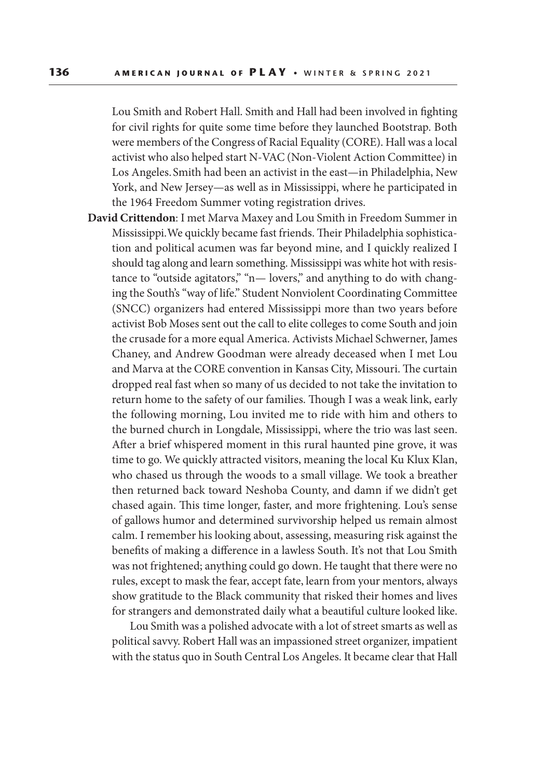Lou Smith and Robert Hall. Smith and Hall had been involved in fighting for civil rights for quite some time before they launched Bootstrap. Both were members of the Congress of Racial Equality (CORE). Hall was a local activist who also helped start N-VAC (Non-Violent Action Committee) in Los Angeles. Smith had been an activist in the east—in Philadelphia, New York, and New Jersey—as well as in Mississippi, where he participated in the 1964 Freedom Summer voting registration drives.

**David Crittendon**: I met Marva Maxey and Lou Smith in Freedom Summer in Mississippi. We quickly became fast friends. Their Philadelphia sophistication and political acumen was far beyond mine, and I quickly realized I should tag along and learn something. Mississippi was white hot with resistance to "outside agitators," "n— lovers," and anything to do with changing the South's "way of life." Student Nonviolent Coordinating Committee (SNCC) organizers had entered Mississippi more than two years before activist Bob Moses sent out the call to elite colleges to come South and join the crusade for a more equal America. Activists Michael Schwerner, James Chaney, and Andrew Goodman were already deceased when I met Lou and Marva at the CORE convention in Kansas City, Missouri. The curtain dropped real fast when so many of us decided to not take the invitation to return home to the safety of our families. Though I was a weak link, early the following morning, Lou invited me to ride with him and others to the burned church in Longdale, Mississippi, where the trio was last seen. After a brief whispered moment in this rural haunted pine grove, it was time to go. We quickly attracted visitors, meaning the local Ku Klux Klan, who chased us through the woods to a small village. We took a breather then returned back toward Neshoba County, and damn if we didn't get chased again. This time longer, faster, and more frightening. Lou's sense of gallows humor and determined survivorship helped us remain almost calm. I remember his looking about, assessing, measuring risk against the benefits of making a difference in a lawless South. It's not that Lou Smith was not frightened; anything could go down. He taught that there were no rules, except to mask the fear, accept fate, learn from your mentors, always show gratitude to the Black community that risked their homes and lives for strangers and demonstrated daily what a beautiful culture looked like.

 Lou Smith was a polished advocate with a lot of street smarts as well as political savvy. Robert Hall was an impassioned street organizer, impatient with the status quo in South Central Los Angeles. It became clear that Hall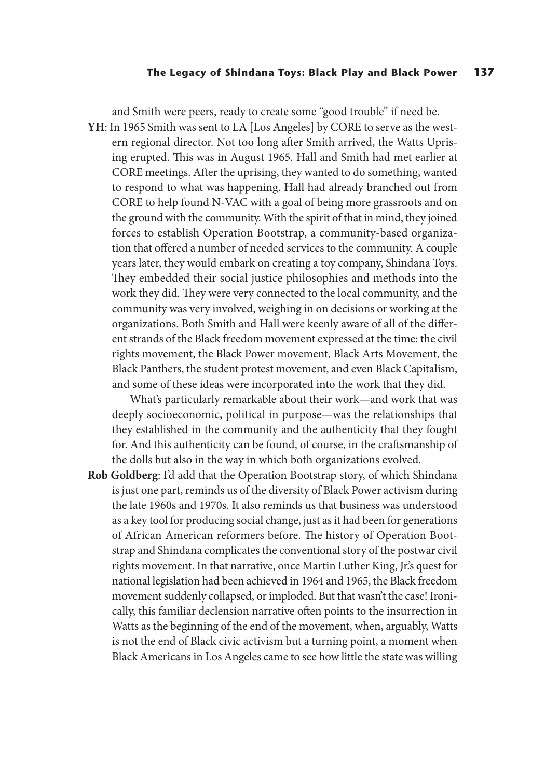and Smith were peers, ready to create some "good trouble" if need be.

**YH**: In 1965 Smith was sent to LA [Los Angeles] by CORE to serve as the western regional director. Not too long after Smith arrived, the Watts Uprising erupted. This was in August 1965. Hall and Smith had met earlier at CORE meetings. After the uprising, they wanted to do something, wanted to respond to what was happening. Hall had already branched out from CORE to help found N-VAC with a goal of being more grassroots and on the ground with the community. With the spirit of that in mind, they joined forces to establish Operation Bootstrap, a community-based organization that offered a number of needed services to the community. A couple years later, they would embark on creating a toy company, Shindana Toys. They embedded their social justice philosophies and methods into the work they did. They were very connected to the local community, and the community was very involved, weighing in on decisions or working at the organizations. Both Smith and Hall were keenly aware of all of the different strands of the Black freedom movement expressed at the time: the civil rights movement, the Black Power movement, Black Arts Movement, the Black Panthers, the student protest movement, and even Black Capitalism, and some of these ideas were incorporated into the work that they did.

 What's particularly remarkable about their work—and work that was deeply socioeconomic, political in purpose—was the relationships that they established in the community and the authenticity that they fought for. And this authenticity can be found, of course, in the craftsmanship of the dolls but also in the way in which both organizations evolved.

**Rob Goldberg**: I'd add that the Operation Bootstrap story, of which Shindana is just one part, reminds us of the diversity of Black Power activism during the late 1960s and 1970s. It also reminds us that business was understood as a key tool for producing social change, just as it had been for generations of African American reformers before. The history of Operation Bootstrap and Shindana complicates the conventional story of the postwar civil rights movement. In that narrative, once Martin Luther King, Jr.'s quest for national legislation had been achieved in 1964 and 1965, the Black freedom movement suddenly collapsed, or imploded. But that wasn't the case! Ironically, this familiar declension narrative often points to the insurrection in Watts as the beginning of the end of the movement, when, arguably, Watts is not the end of Black civic activism but a turning point, a moment when Black Americans in Los Angeles came to see how little the state was willing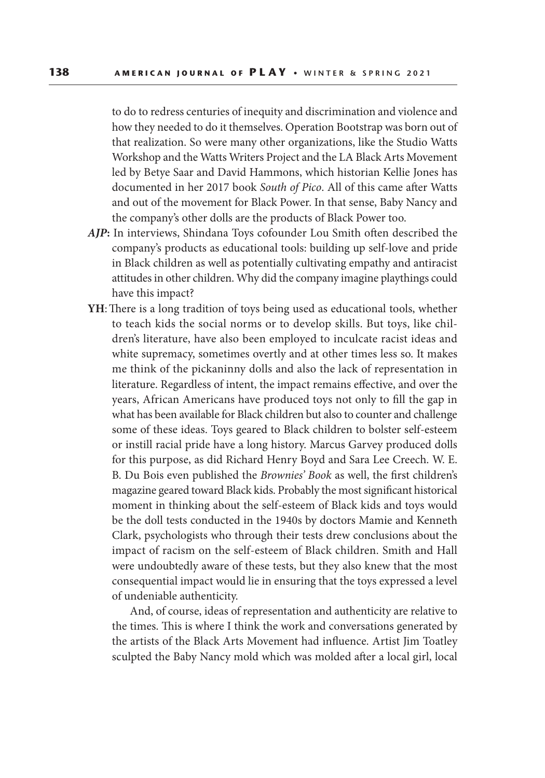to do to redress centuries of inequity and discrimination and violence and how they needed to do it themselves. Operation Bootstrap was born out of that realization. So were many other organizations, like the Studio Watts Workshop and the Watts Writers Project and the LA Black Arts Movement led by Betye Saar and David Hammons, which historian Kellie Jones has documented in her 2017 book *South of Pico*. All of this came after Watts and out of the movement for Black Power. In that sense, Baby Nancy and the company's other dolls are the products of Black Power too.

- *AJP***:** In interviews, Shindana Toys cofounder Lou Smith often described the company's products as educational tools: building up self-love and pride in Black children as well as potentially cultivating empathy and antiracist attitudes in other children. Why did the company imagine playthings could have this impact?
- **YH**: There is a long tradition of toys being used as educational tools, whether to teach kids the social norms or to develop skills. But toys, like children's literature, have also been employed to inculcate racist ideas and white supremacy, sometimes overtly and at other times less so. It makes me think of the pickaninny dolls and also the lack of representation in literature. Regardless of intent, the impact remains effective, and over the years, African Americans have produced toys not only to fill the gap in what has been available for Black children but also to counter and challenge some of these ideas. Toys geared to Black children to bolster self-esteem or instill racial pride have a long history. Marcus Garvey produced dolls for this purpose, as did Richard Henry Boyd and Sara Lee Creech. W. E. B. Du Bois even published the *Brownies' Book* as well, the first children's magazine geared toward Black kids. Probably the most significant historical moment in thinking about the self-esteem of Black kids and toys would be the doll tests conducted in the 1940s by doctors Mamie and Kenneth Clark, psychologists who through their tests drew conclusions about the impact of racism on the self-esteem of Black children. Smith and Hall were undoubtedly aware of these tests, but they also knew that the most consequential impact would lie in ensuring that the toys expressed a level of undeniable authenticity.

 And, of course, ideas of representation and authenticity are relative to the times. This is where I think the work and conversations generated by the artists of the Black Arts Movement had influence. Artist Jim Toatley sculpted the Baby Nancy mold which was molded after a local girl, local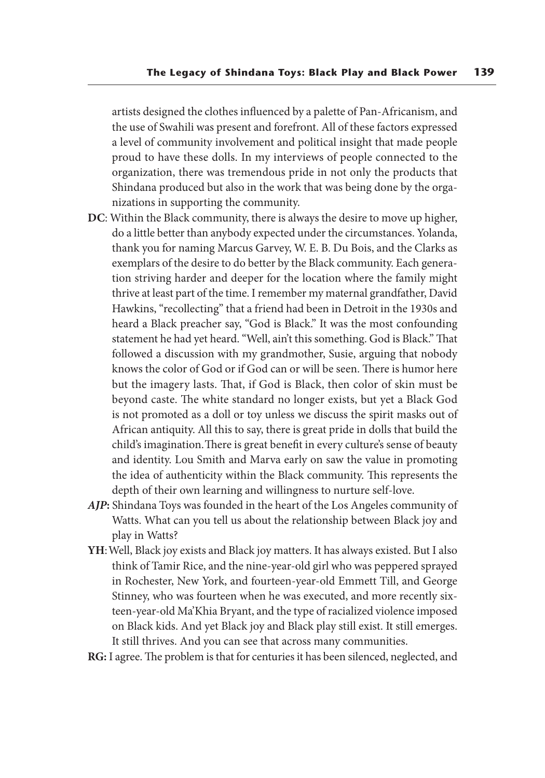artists designed the clothes influenced by a palette of Pan-Africanism, and the use of Swahili was present and forefront. All of these factors expressed a level of community involvement and political insight that made people proud to have these dolls. In my interviews of people connected to the organization, there was tremendous pride in not only the products that Shindana produced but also in the work that was being done by the organizations in supporting the community.

- **DC**: Within the Black community, there is always the desire to move up higher, do a little better than anybody expected under the circumstances. Yolanda, thank you for naming Marcus Garvey, W. E. B. Du Bois, and the Clarks as exemplars of the desire to do better by the Black community. Each generation striving harder and deeper for the location where the family might thrive at least part of the time. I remember my maternal grandfather, David Hawkins, "recollecting" that a friend had been in Detroit in the 1930s and heard a Black preacher say, "God is Black." It was the most confounding statement he had yet heard. "Well, ain't this something. God is Black." That followed a discussion with my grandmother, Susie, arguing that nobody knows the color of God or if God can or will be seen. There is humor here but the imagery lasts. That, if God is Black, then color of skin must be beyond caste. The white standard no longer exists, but yet a Black God is not promoted as a doll or toy unless we discuss the spirit masks out of African antiquity. All this to say, there is great pride in dolls that build the child's imagination. There is great benefit in every culture's sense of beauty and identity. Lou Smith and Marva early on saw the value in promoting the idea of authenticity within the Black community. This represents the depth of their own learning and willingness to nurture self-love.
- *AJP***:** Shindana Toys was founded in the heart of the Los Angeles community of Watts. What can you tell us about the relationship between Black joy and play in Watts?
- **YH**: Well, Black joy exists and Black joy matters. It has always existed. But I also think of Tamir Rice, and the nine-year-old girl who was peppered sprayed in Rochester, New York, and fourteen-year-old Emmett Till, and George Stinney, who was fourteen when he was executed, and more recently sixteen-year-old Ma'Khia Bryant, and the type of racialized violence imposed on Black kids. And yet Black joy and Black play still exist. It still emerges. It still thrives. And you can see that across many communities.

**RG:** I agree. The problem is that for centuries it has been silenced, neglected, and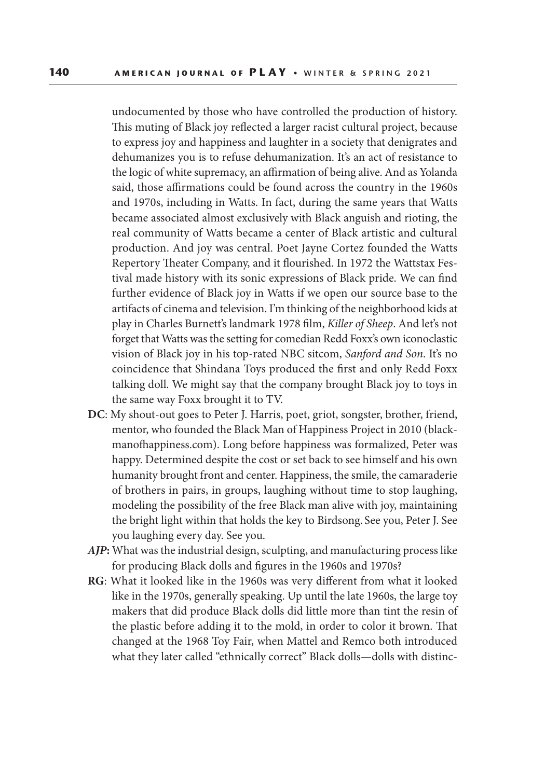undocumented by those who have controlled the production of history. This muting of Black joy reflected a larger racist cultural project, because to express joy and happiness and laughter in a society that denigrates and dehumanizes you is to refuse dehumanization. It's an act of resistance to the logic of white supremacy, an affirmation of being alive. And as Yolanda said, those affirmations could be found across the country in the 1960s and 1970s, including in Watts. In fact, during the same years that Watts became associated almost exclusively with Black anguish and rioting, the real community of Watts became a center of Black artistic and cultural production. And joy was central. Poet Jayne Cortez founded the Watts Repertory Theater Company, and it flourished. In 1972 the Wattstax Festival made history with its sonic expressions of Black pride. We can find further evidence of Black joy in Watts if we open our source base to the artifacts of cinema and television. I'm thinking of the neighborhood kids at play in Charles Burnett's landmark 1978 film, *Killer of Sheep*. And let's not forget that Watts was the setting for comedian Redd Foxx's own iconoclastic vision of Black joy in his top-rated NBC sitcom, *Sanford and Son*. It's no coincidence that Shindana Toys produced the first and only Redd Foxx talking doll. We might say that the company brought Black joy to toys in the same way Foxx brought it to TV.

- **DC**: My shout-out goes to Peter J. Harris, poet, griot, songster, brother, friend, mentor, who founded the Black Man of Happiness Project in 2010 (blackmanofhappiness.com). Long before happiness was formalized, Peter was happy. Determined despite the cost or set back to see himself and his own humanity brought front and center. Happiness, the smile, the camaraderie of brothers in pairs, in groups, laughing without time to stop laughing, modeling the possibility of the free Black man alive with joy, maintaining the bright light within that holds the key to Birdsong. See you, Peter J. See you laughing every day. See you.
- *AJP***:** What was the industrial design, sculpting, and manufacturing process like for producing Black dolls and figures in the 1960s and 1970s?
- **RG**: What it looked like in the 1960s was very different from what it looked like in the 1970s, generally speaking. Up until the late 1960s, the large toy makers that did produce Black dolls did little more than tint the resin of the plastic before adding it to the mold, in order to color it brown. That changed at the 1968 Toy Fair, when Mattel and Remco both introduced what they later called "ethnically correct" Black dolls—dolls with distinc-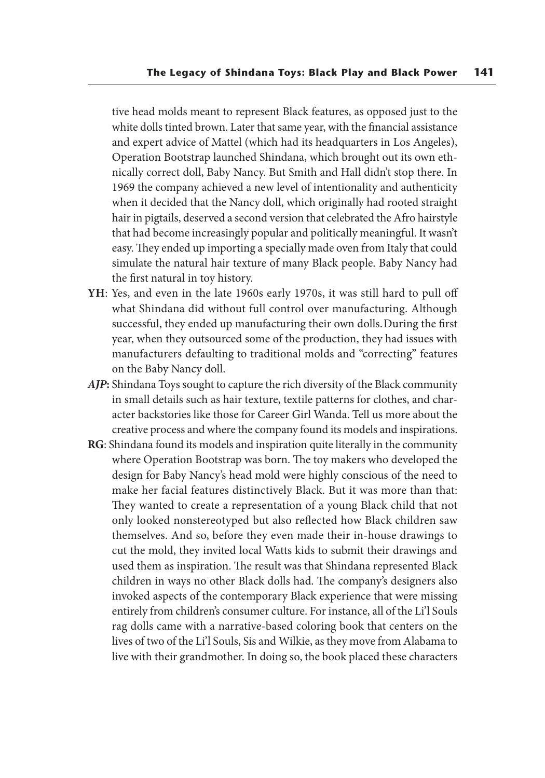tive head molds meant to represent Black features, as opposed just to the white dolls tinted brown. Later that same year, with the financial assistance and expert advice of Mattel (which had its headquarters in Los Angeles), Operation Bootstrap launched Shindana, which brought out its own ethnically correct doll, Baby Nancy. But Smith and Hall didn't stop there. In 1969 the company achieved a new level of intentionality and authenticity when it decided that the Nancy doll, which originally had rooted straight hair in pigtails, deserved a second version that celebrated the Afro hairstyle that had become increasingly popular and politically meaningful. It wasn't easy. They ended up importing a specially made oven from Italy that could simulate the natural hair texture of many Black people. Baby Nancy had the first natural in toy history.

- **YH**: Yes, and even in the late 1960s early 1970s, it was still hard to pull off what Shindana did without full control over manufacturing. Although successful, they ended up manufacturing their own dolls. During the first year, when they outsourced some of the production, they had issues with manufacturers defaulting to traditional molds and "correcting" features on the Baby Nancy doll.
- *AJP***:** Shindana Toys sought to capture the rich diversity of the Black community in small details such as hair texture, textile patterns for clothes, and character backstories like those for Career Girl Wanda. Tell us more about the creative process and where the company found its models and inspirations.
- **RG**: Shindana found its models and inspiration quite literally in the community where Operation Bootstrap was born. The toy makers who developed the design for Baby Nancy's head mold were highly conscious of the need to make her facial features distinctively Black. But it was more than that: They wanted to create a representation of a young Black child that not only looked nonstereotyped but also reflected how Black children saw themselves. And so, before they even made their in-house drawings to cut the mold, they invited local Watts kids to submit their drawings and used them as inspiration. The result was that Shindana represented Black children in ways no other Black dolls had. The company's designers also invoked aspects of the contemporary Black experience that were missing entirely from children's consumer culture. For instance, all of the Li'l Souls rag dolls came with a narrative-based coloring book that centers on the lives of two of the Li'l Souls, Sis and Wilkie, as they move from Alabama to live with their grandmother. In doing so, the book placed these characters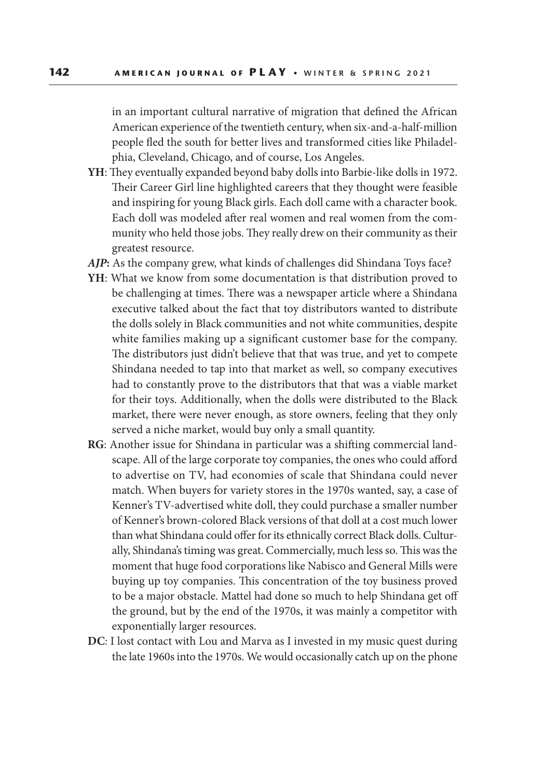in an important cultural narrative of migration that defined the African American experience of the twentieth century, when six-and-a-half-million people fled the south for better lives and transformed cities like Philadelphia, Cleveland, Chicago, and of course, Los Angeles.

- **YH**: They eventually expanded beyond baby dolls into Barbie-like dolls in 1972. Their Career Girl line highlighted careers that they thought were feasible and inspiring for young Black girls. Each doll came with a character book. Each doll was modeled after real women and real women from the community who held those jobs. They really drew on their community as their greatest resource.
- *AJP***:** As the company grew, what kinds of challenges did Shindana Toys face?
- **YH**: What we know from some documentation is that distribution proved to be challenging at times. There was a newspaper article where a Shindana executive talked about the fact that toy distributors wanted to distribute the dolls solely in Black communities and not white communities, despite white families making up a significant customer base for the company. The distributors just didn't believe that that was true, and yet to compete Shindana needed to tap into that market as well, so company executives had to constantly prove to the distributors that that was a viable market for their toys. Additionally, when the dolls were distributed to the Black market, there were never enough, as store owners, feeling that they only served a niche market, would buy only a small quantity.
- **RG**: Another issue for Shindana in particular was a shifting commercial landscape. All of the large corporate toy companies, the ones who could afford to advertise on TV, had economies of scale that Shindana could never match. When buyers for variety stores in the 1970s wanted, say, a case of Kenner's TV-advertised white doll, they could purchase a smaller number of Kenner's brown-colored Black versions of that doll at a cost much lower than what Shindana could offer for its ethnically correct Black dolls. Culturally, Shindana's timing was great. Commercially, much less so. This was the moment that huge food corporations like Nabisco and General Mills were buying up toy companies. This concentration of the toy business proved to be a major obstacle. Mattel had done so much to help Shindana get off the ground, but by the end of the 1970s, it was mainly a competitor with exponentially larger resources.
- **DC**: I lost contact with Lou and Marva as I invested in my music quest during the late 1960s into the 1970s. We would occasionally catch up on the phone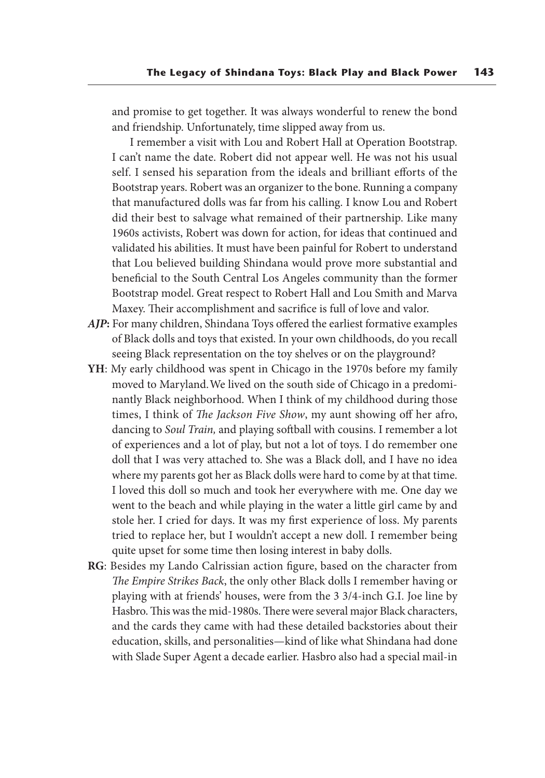and promise to get together. It was always wonderful to renew the bond and friendship. Unfortunately, time slipped away from us.

 I remember a visit with Lou and Robert Hall at Operation Bootstrap. I can't name the date. Robert did not appear well. He was not his usual self. I sensed his separation from the ideals and brilliant efforts of the Bootstrap years. Robert was an organizer to the bone. Running a company that manufactured dolls was far from his calling. I know Lou and Robert did their best to salvage what remained of their partnership. Like many 1960s activists, Robert was down for action, for ideas that continued and validated his abilities. It must have been painful for Robert to understand that Lou believed building Shindana would prove more substantial and beneficial to the South Central Los Angeles community than the former Bootstrap model. Great respect to Robert Hall and Lou Smith and Marva Maxey. Their accomplishment and sacrifice is full of love and valor.

- *AJP***:** For many children, Shindana Toys offered the earliest formative examples of Black dolls and toys that existed. In your own childhoods, do you recall seeing Black representation on the toy shelves or on the playground?
- **YH**: My early childhood was spent in Chicago in the 1970s before my family moved to Maryland. We lived on the south side of Chicago in a predominantly Black neighborhood. When I think of my childhood during those times, I think of *The Jackson Five Show*, my aunt showing off her afro, dancing to *Soul Train,* and playing softball with cousins. I remember a lot of experiences and a lot of play, but not a lot of toys. I do remember one doll that I was very attached to. She was a Black doll, and I have no idea where my parents got her as Black dolls were hard to come by at that time. I loved this doll so much and took her everywhere with me. One day we went to the beach and while playing in the water a little girl came by and stole her. I cried for days. It was my first experience of loss. My parents tried to replace her, but I wouldn't accept a new doll. I remember being quite upset for some time then losing interest in baby dolls.
- **RG**: Besides my Lando Calrissian action figure, based on the character from *The Empire Strikes Back*, the only other Black dolls I remember having or playing with at friends' houses, were from the 3 3/4-inch G.I. Joe line by Hasbro. This was the mid-1980s. There were several major Black characters, and the cards they came with had these detailed backstories about their education, skills, and personalities—kind of like what Shindana had done with Slade Super Agent a decade earlier. Hasbro also had a special mail-in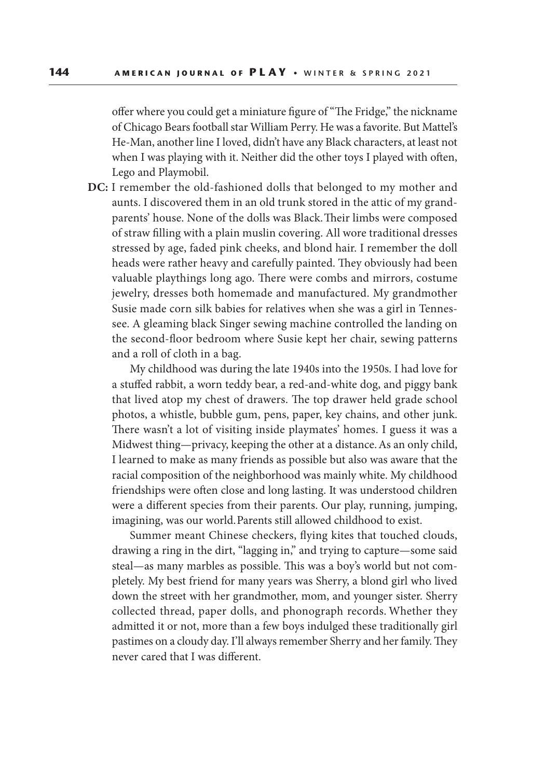offer where you could get a miniature figure of "The Fridge," the nickname of Chicago Bears football star William Perry. He was a favorite. But Mattel's He-Man, another line I loved, didn't have any Black characters, at least not when I was playing with it. Neither did the other toys I played with often, Lego and Playmobil.

**DC:** I remember the old-fashioned dolls that belonged to my mother and aunts. I discovered them in an old trunk stored in the attic of my grandparents' house. None of the dolls was Black. Their limbs were composed of straw filling with a plain muslin covering. All wore traditional dresses stressed by age, faded pink cheeks, and blond hair. I remember the doll heads were rather heavy and carefully painted. They obviously had been valuable playthings long ago. There were combs and mirrors, costume jewelry, dresses both homemade and manufactured. My grandmother Susie made corn silk babies for relatives when she was a girl in Tennessee. A gleaming black Singer sewing machine controlled the landing on the second-floor bedroom where Susie kept her chair, sewing patterns and a roll of cloth in a bag.

 My childhood was during the late 1940s into the 1950s. I had love for a stuffed rabbit, a worn teddy bear, a red-and-white dog, and piggy bank that lived atop my chest of drawers. The top drawer held grade school photos, a whistle, bubble gum, pens, paper, key chains, and other junk. There wasn't a lot of visiting inside playmates' homes. I guess it was a Midwest thing—privacy, keeping the other at a distance. As an only child, I learned to make as many friends as possible but also was aware that the racial composition of the neighborhood was mainly white. My childhood friendships were often close and long lasting. It was understood children were a different species from their parents. Our play, running, jumping, imagining, was our world. Parents still allowed childhood to exist.

 Summer meant Chinese checkers, flying kites that touched clouds, drawing a ring in the dirt, "lagging in," and trying to capture—some said steal—as many marbles as possible. This was a boy's world but not completely. My best friend for many years was Sherry, a blond girl who lived down the street with her grandmother, mom, and younger sister. Sherry collected thread, paper dolls, and phonograph records. Whether they admitted it or not, more than a few boys indulged these traditionally girl pastimes on a cloudy day. I'll always remember Sherry and her family. They never cared that I was different.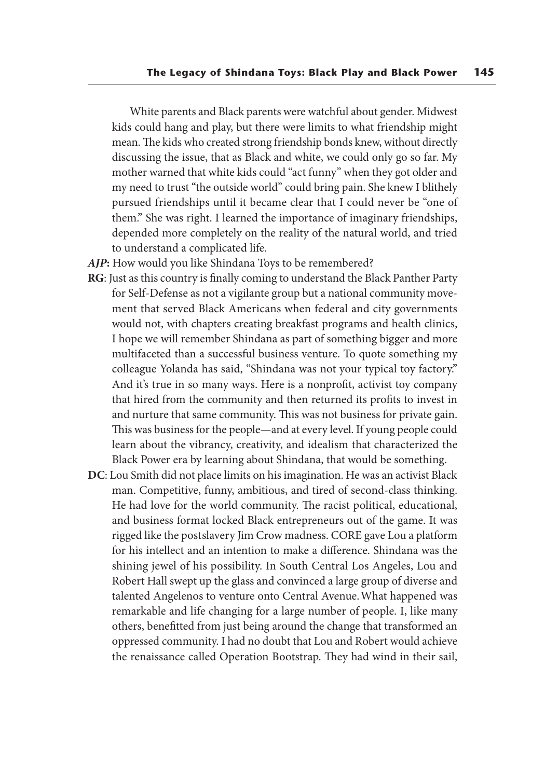White parents and Black parents were watchful about gender. Midwest kids could hang and play, but there were limits to what friendship might mean. The kids who created strong friendship bonds knew, without directly discussing the issue, that as Black and white, we could only go so far. My mother warned that white kids could "act funny" when they got older and my need to trust "the outside world" could bring pain. She knew I blithely pursued friendships until it became clear that I could never be "one of them." She was right. I learned the importance of imaginary friendships, depended more completely on the reality of the natural world, and tried to understand a complicated life.

- AJP: How would you like Shindana Toys to be remembered?
- **RG**: Just as this country is finally coming to understand the Black Panther Party for Self-Defense as not a vigilante group but a national community movement that served Black Americans when federal and city governments would not, with chapters creating breakfast programs and health clinics, I hope we will remember Shindana as part of something bigger and more multifaceted than a successful business venture. To quote something my colleague Yolanda has said, "Shindana was not your typical toy factory." And it's true in so many ways. Here is a nonprofit, activist toy company that hired from the community and then returned its profits to invest in and nurture that same community. This was not business for private gain. This was business for the people—and at every level. If young people could learn about the vibrancy, creativity, and idealism that characterized the Black Power era by learning about Shindana, that would be something.
- **DC**: Lou Smith did not place limits on his imagination. He was an activist Black man. Competitive, funny, ambitious, and tired of second-class thinking. He had love for the world community. The racist political, educational, and business format locked Black entrepreneurs out of the game. It was rigged like the postslavery Jim Crow madness. CORE gave Lou a platform for his intellect and an intention to make a difference. Shindana was the shining jewel of his possibility. In South Central Los Angeles, Lou and Robert Hall swept up the glass and convinced a large group of diverse and talented Angelenos to venture onto Central Avenue. What happened was remarkable and life changing for a large number of people. I, like many others, benefitted from just being around the change that transformed an oppressed community. I had no doubt that Lou and Robert would achieve the renaissance called Operation Bootstrap. They had wind in their sail,